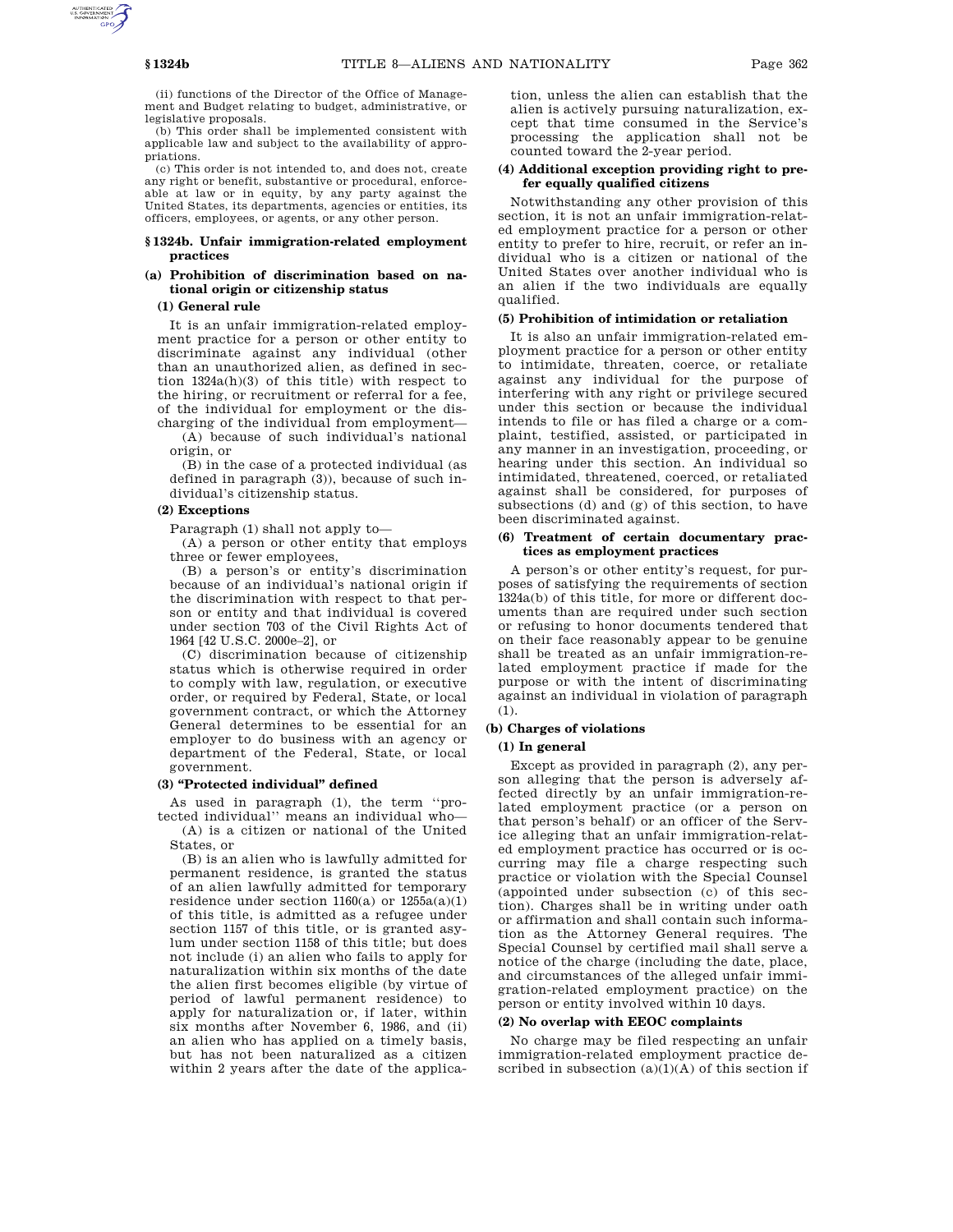(ii) functions of the Director of the Office of Management and Budget relating to budget, administrative, or legislative proposals.

(b) This order shall be implemented consistent with applicable law and subject to the availability of appropriations.

(c) This order is not intended to, and does not, create any right or benefit, substantive or procedural, enforceable at law or in equity, by any party against the United States, its departments, agencies or entities, its officers, employees, or agents, or any other person.

### **§ 1324b. Unfair immigration-related employment practices**

### **(a) Prohibition of discrimination based on national origin or citizenship status**

#### **(1) General rule**

It is an unfair immigration-related employment practice for a person or other entity to discriminate against any individual (other than an unauthorized alien, as defined in section 1324a(h)(3) of this title) with respect to the hiring, or recruitment or referral for a fee, of the individual for employment or the discharging of the individual from employment—

(A) because of such individual's national origin, or

(B) in the case of a protected individual (as defined in paragraph (3)), because of such individual's citizenship status.

### **(2) Exceptions**

Paragraph (1) shall not apply to—

(A) a person or other entity that employs three or fewer employees,

(B) a person's or entity's discrimination because of an individual's national origin if the discrimination with respect to that person or entity and that individual is covered under section 703 of the Civil Rights Act of 1964 [42 U.S.C. 2000e–2], or

(C) discrimination because of citizenship status which is otherwise required in order to comply with law, regulation, or executive order, or required by Federal, State, or local government contract, or which the Attorney General determines to be essential for an employer to do business with an agency or department of the Federal, State, or local government.

### **(3) ''Protected individual'' defined**

As used in paragraph (1), the term ''protected individual'' means an individual who—

(A) is a citizen or national of the United States, or

(B) is an alien who is lawfully admitted for permanent residence, is granted the status of an alien lawfully admitted for temporary residence under section  $1160(a)$  or  $1255a(a)(1)$ of this title, is admitted as a refugee under section 1157 of this title, or is granted asylum under section 1158 of this title; but does not include (i) an alien who fails to apply for naturalization within six months of the date the alien first becomes eligible (by virtue of period of lawful permanent residence) to apply for naturalization or, if later, within six months after November 6, 1986, and (ii) an alien who has applied on a timely basis, but has not been naturalized as a citizen within 2 years after the date of the application, unless the alien can establish that the alien is actively pursuing naturalization, except that time consumed in the Service's processing the application shall not be counted toward the 2-year period.

### **(4) Additional exception providing right to prefer equally qualified citizens**

Notwithstanding any other provision of this section, it is not an unfair immigration-related employment practice for a person or other entity to prefer to hire, recruit, or refer an individual who is a citizen or national of the United States over another individual who is an alien if the two individuals are equally qualified.

#### **(5) Prohibition of intimidation or retaliation**

It is also an unfair immigration-related employment practice for a person or other entity to intimidate, threaten, coerce, or retaliate against any individual for the purpose of interfering with any right or privilege secured under this section or because the individual intends to file or has filed a charge or a complaint, testified, assisted, or participated in any manner in an investigation, proceeding, or hearing under this section. An individual so intimidated, threatened, coerced, or retaliated against shall be considered, for purposes of subsections (d) and (g) of this section, to have been discriminated against.

### **(6) Treatment of certain documentary practices as employment practices**

A person's or other entity's request, for purposes of satisfying the requirements of section 1324a(b) of this title, for more or different documents than are required under such section or refusing to honor documents tendered that on their face reasonably appear to be genuine shall be treated as an unfair immigration-related employment practice if made for the purpose or with the intent of discriminating against an individual in violation of paragraph (1).

## **(b) Charges of violations**

#### **(1) In general**

Except as provided in paragraph (2), any person alleging that the person is adversely affected directly by an unfair immigration-related employment practice (or a person on that person's behalf) or an officer of the Service alleging that an unfair immigration-related employment practice has occurred or is occurring may file a charge respecting such practice or violation with the Special Counsel (appointed under subsection (c) of this section). Charges shall be in writing under oath or affirmation and shall contain such information as the Attorney General requires. The Special Counsel by certified mail shall serve a notice of the charge (including the date, place, and circumstances of the alleged unfair immigration-related employment practice) on the person or entity involved within 10 days.

#### **(2) No overlap with EEOC complaints**

No charge may be filed respecting an unfair immigration-related employment practice described in subsection  $(a)(1)(A)$  of this section if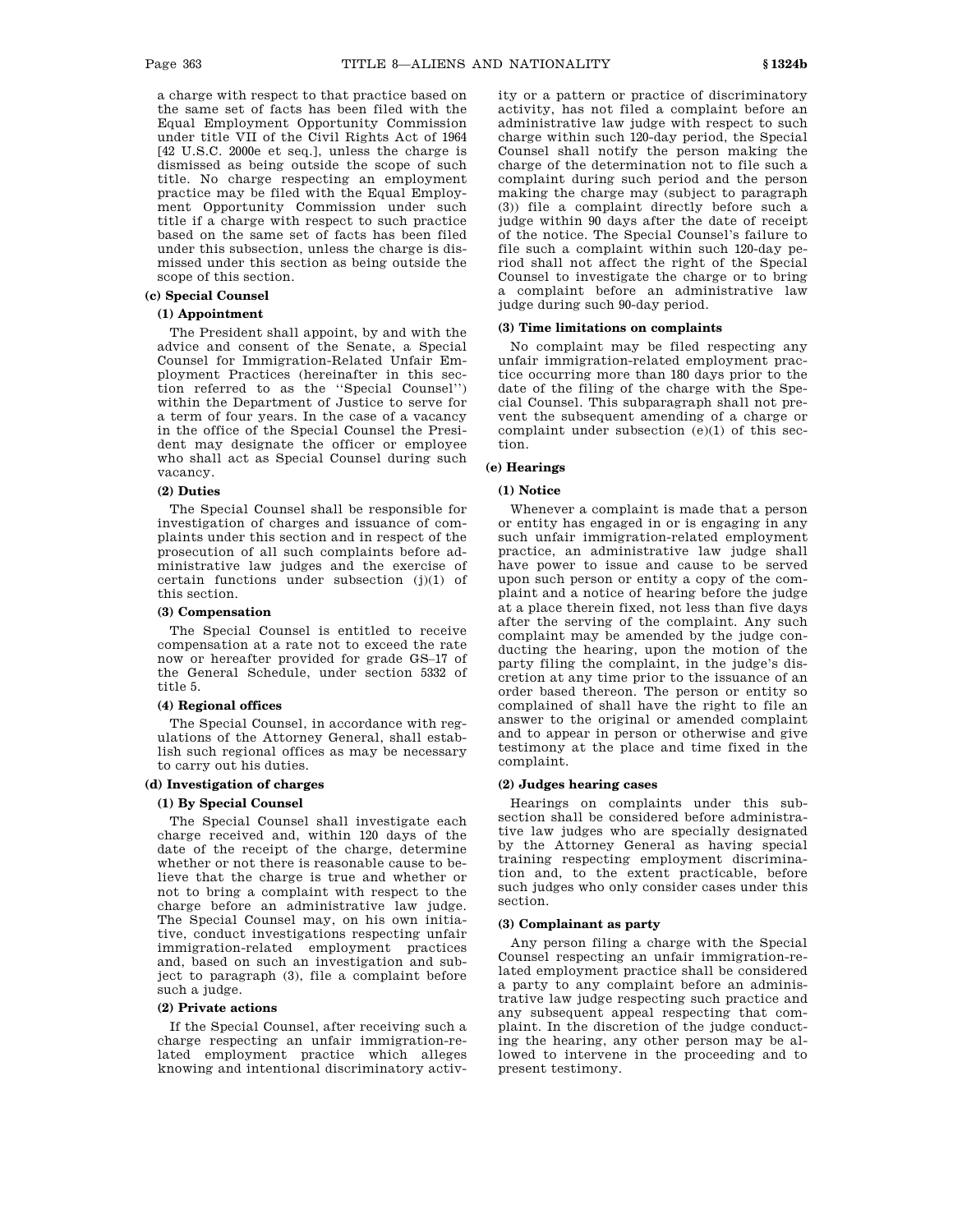a charge with respect to that practice based on the same set of facts has been filed with the Equal Employment Opportunity Commission under title VII of the Civil Rights Act of 1964 [42 U.S.C. 2000e et seq.], unless the charge is dismissed as being outside the scope of such title. No charge respecting an employment practice may be filed with the Equal Employment Opportunity Commission under such title if a charge with respect to such practice based on the same set of facts has been filed under this subsection, unless the charge is dismissed under this section as being outside the scope of this section.

### **(c) Special Counsel**

### **(1) Appointment**

The President shall appoint, by and with the advice and consent of the Senate, a Special Counsel for Immigration-Related Unfair Employment Practices (hereinafter in this section referred to as the ''Special Counsel'') within the Department of Justice to serve for a term of four years. In the case of a vacancy in the office of the Special Counsel the President may designate the officer or employee who shall act as Special Counsel during such vacancy.

#### **(2) Duties**

The Special Counsel shall be responsible for investigation of charges and issuance of complaints under this section and in respect of the prosecution of all such complaints before administrative law judges and the exercise of certain functions under subsection (j)(1) of this section.

#### **(3) Compensation**

The Special Counsel is entitled to receive compensation at a rate not to exceed the rate now or hereafter provided for grade GS–17 of the General Schedule, under section 5332 of title 5.

#### **(4) Regional offices**

The Special Counsel, in accordance with regulations of the Attorney General, shall establish such regional offices as may be necessary to carry out his duties.

### **(d) Investigation of charges**

### **(1) By Special Counsel**

The Special Counsel shall investigate each charge received and, within 120 days of the date of the receipt of the charge, determine whether or not there is reasonable cause to believe that the charge is true and whether or not to bring a complaint with respect to the charge before an administrative law judge. The Special Counsel may, on his own initiative, conduct investigations respecting unfair immigration-related employment practices and, based on such an investigation and subject to paragraph (3), file a complaint before such a judge.

#### **(2) Private actions**

If the Special Counsel, after receiving such a charge respecting an unfair immigration-related employment practice which alleges knowing and intentional discriminatory activity or a pattern or practice of discriminatory activity, has not filed a complaint before an administrative law judge with respect to such charge within such 120-day period, the Special Counsel shall notify the person making the charge of the determination not to file such a complaint during such period and the person making the charge may (subject to paragraph (3)) file a complaint directly before such a judge within 90 days after the date of receipt of the notice. The Special Counsel's failure to file such a complaint within such 120-day period shall not affect the right of the Special Counsel to investigate the charge or to bring a complaint before an administrative law judge during such 90-day period.

### **(3) Time limitations on complaints**

No complaint may be filed respecting any unfair immigration-related employment practice occurring more than 180 days prior to the date of the filing of the charge with the Special Counsel. This subparagraph shall not prevent the subsequent amending of a charge or complaint under subsection (e)(1) of this section.

# **(e) Hearings**

#### **(1) Notice**

Whenever a complaint is made that a person or entity has engaged in or is engaging in any such unfair immigration-related employment practice, an administrative law judge shall have power to issue and cause to be served upon such person or entity a copy of the complaint and a notice of hearing before the judge at a place therein fixed, not less than five days after the serving of the complaint. Any such complaint may be amended by the judge conducting the hearing, upon the motion of the party filing the complaint, in the judge's discretion at any time prior to the issuance of an order based thereon. The person or entity so complained of shall have the right to file an answer to the original or amended complaint and to appear in person or otherwise and give testimony at the place and time fixed in the complaint.

### **(2) Judges hearing cases**

Hearings on complaints under this subsection shall be considered before administrative law judges who are specially designated by the Attorney General as having special training respecting employment discrimination and, to the extent practicable, before such judges who only consider cases under this section.

### **(3) Complainant as party**

Any person filing a charge with the Special Counsel respecting an unfair immigration-related employment practice shall be considered a party to any complaint before an administrative law judge respecting such practice and any subsequent appeal respecting that complaint. In the discretion of the judge conducting the hearing, any other person may be allowed to intervene in the proceeding and to present testimony.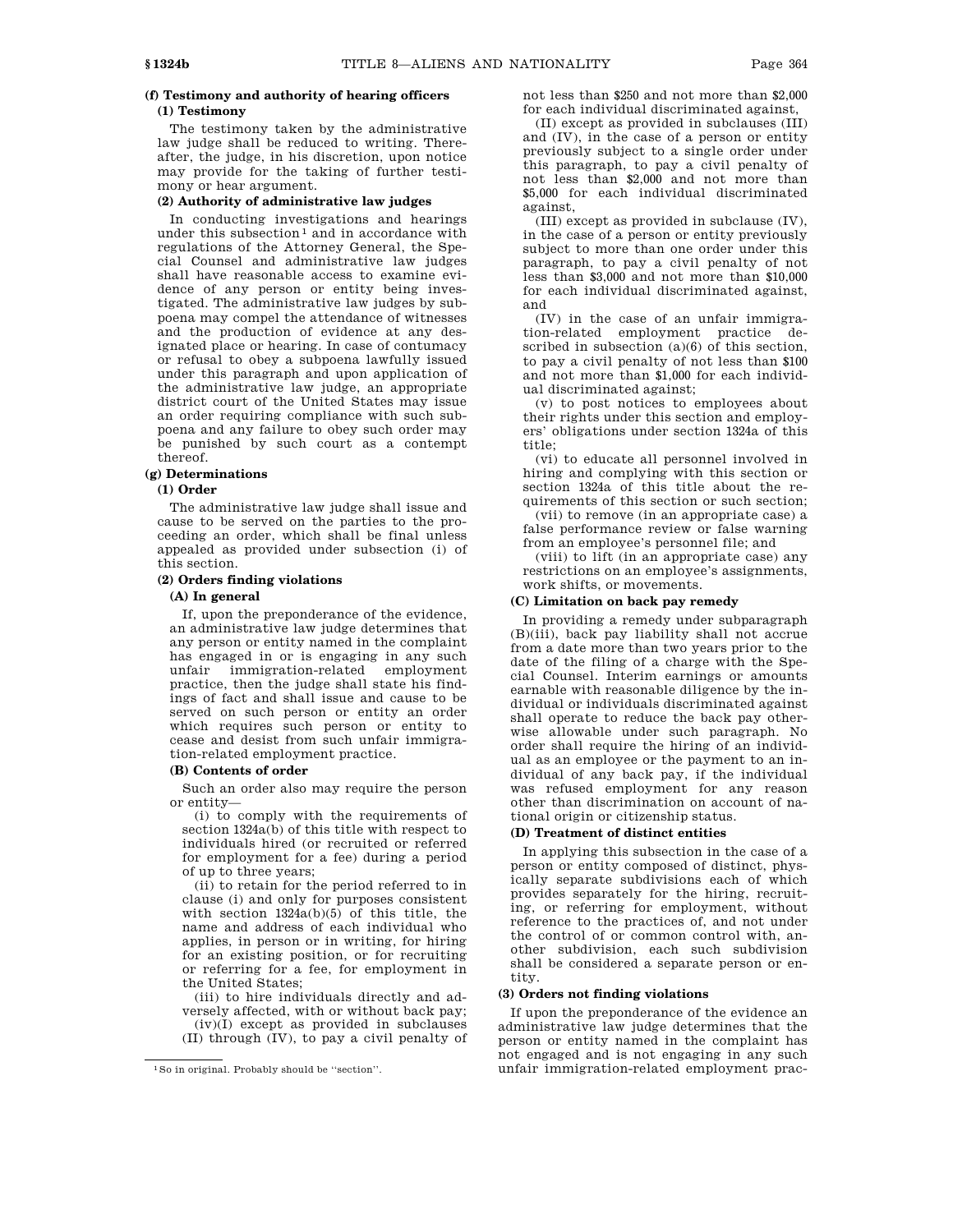# **(f) Testimony and authority of hearing officers (1) Testimony**

The testimony taken by the administrative law judge shall be reduced to writing. Thereafter, the judge, in his discretion, upon notice may provide for the taking of further testimony or hear argument.

### **(2) Authority of administrative law judges**

In conducting investigations and hearings under this subsection<sup>1</sup> and in accordance with regulations of the Attorney General, the Special Counsel and administrative law judges shall have reasonable access to examine evidence of any person or entity being investigated. The administrative law judges by subpoena may compel the attendance of witnesses and the production of evidence at any designated place or hearing. In case of contumacy or refusal to obey a subpoena lawfully issued under this paragraph and upon application of the administrative law judge, an appropriate district court of the United States may issue an order requiring compliance with such subpoena and any failure to obey such order may be punished by such court as a contempt thereof.

### **(g) Determinations**

### **(1) Order**

The administrative law judge shall issue and cause to be served on the parties to the proceeding an order, which shall be final unless appealed as provided under subsection (i) of this section.

### **(2) Orders finding violations**

## **(A) In general**

If, upon the preponderance of the evidence, an administrative law judge determines that any person or entity named in the complaint has engaged in or is engaging in any such unfair immigration-related employment practice, then the judge shall state his findings of fact and shall issue and cause to be served on such person or entity an order which requires such person or entity to cease and desist from such unfair immigration-related employment practice.

### **(B) Contents of order**

Such an order also may require the person or entity—

(i) to comply with the requirements of section 1324a(b) of this title with respect to individuals hired (or recruited or referred for employment for a fee) during a period of up to three years;

(ii) to retain for the period referred to in clause (i) and only for purposes consistent with section 1324a(b)(5) of this title, the name and address of each individual who applies, in person or in writing, for hiring for an existing position, or for recruiting or referring for a fee, for employment in the United States;

(iii) to hire individuals directly and adversely affected, with or without back pay;

(iv)(I) except as provided in subclauses (II) through (IV), to pay a civil penalty of not less than \$250 and not more than \$2,000 for each individual discriminated against,

(II) except as provided in subclauses (III) and (IV), in the case of a person or entity previously subject to a single order under this paragraph, to pay a civil penalty of not less than \$2,000 and not more than \$5,000 for each individual discriminated against,

(III) except as provided in subclause (IV), in the case of a person or entity previously subject to more than one order under this paragraph, to pay a civil penalty of not less than \$3,000 and not more than \$10,000 for each individual discriminated against, and

(IV) in the case of an unfair immigration-related employment practice described in subsection  $(a)(6)$  of this section, to pay a civil penalty of not less than \$100 and not more than \$1,000 for each individual discriminated against;

(v) to post notices to employees about their rights under this section and employers' obligations under section 1324a of this title;

(vi) to educate all personnel involved in hiring and complying with this section or section 1324a of this title about the requirements of this section or such section; (vii) to remove (in an appropriate case) a

false performance review or false warning from an employee's personnel file; and

(viii) to lift (in an appropriate case) any restrictions on an employee's assignments, work shifts, or movements.

### **(C) Limitation on back pay remedy**

In providing a remedy under subparagraph (B)(iii), back pay liability shall not accrue from a date more than two years prior to the date of the filing of a charge with the Special Counsel. Interim earnings or amounts earnable with reasonable diligence by the individual or individuals discriminated against shall operate to reduce the back pay otherwise allowable under such paragraph. No order shall require the hiring of an individual as an employee or the payment to an individual of any back pay, if the individual was refused employment for any reason other than discrimination on account of national origin or citizenship status.

#### **(D) Treatment of distinct entities**

In applying this subsection in the case of a person or entity composed of distinct, physically separate subdivisions each of which provides separately for the hiring, recruiting, or referring for employment, without reference to the practices of, and not under the control of or common control with, another subdivision, each such subdivision shall be considered a separate person or entity.

### **(3) Orders not finding violations**

If upon the preponderance of the evidence an administrative law judge determines that the person or entity named in the complaint has not engaged and is not engaging in any such unfair immigration-related employment prac-

<sup>1</sup>So in original. Probably should be ''section''.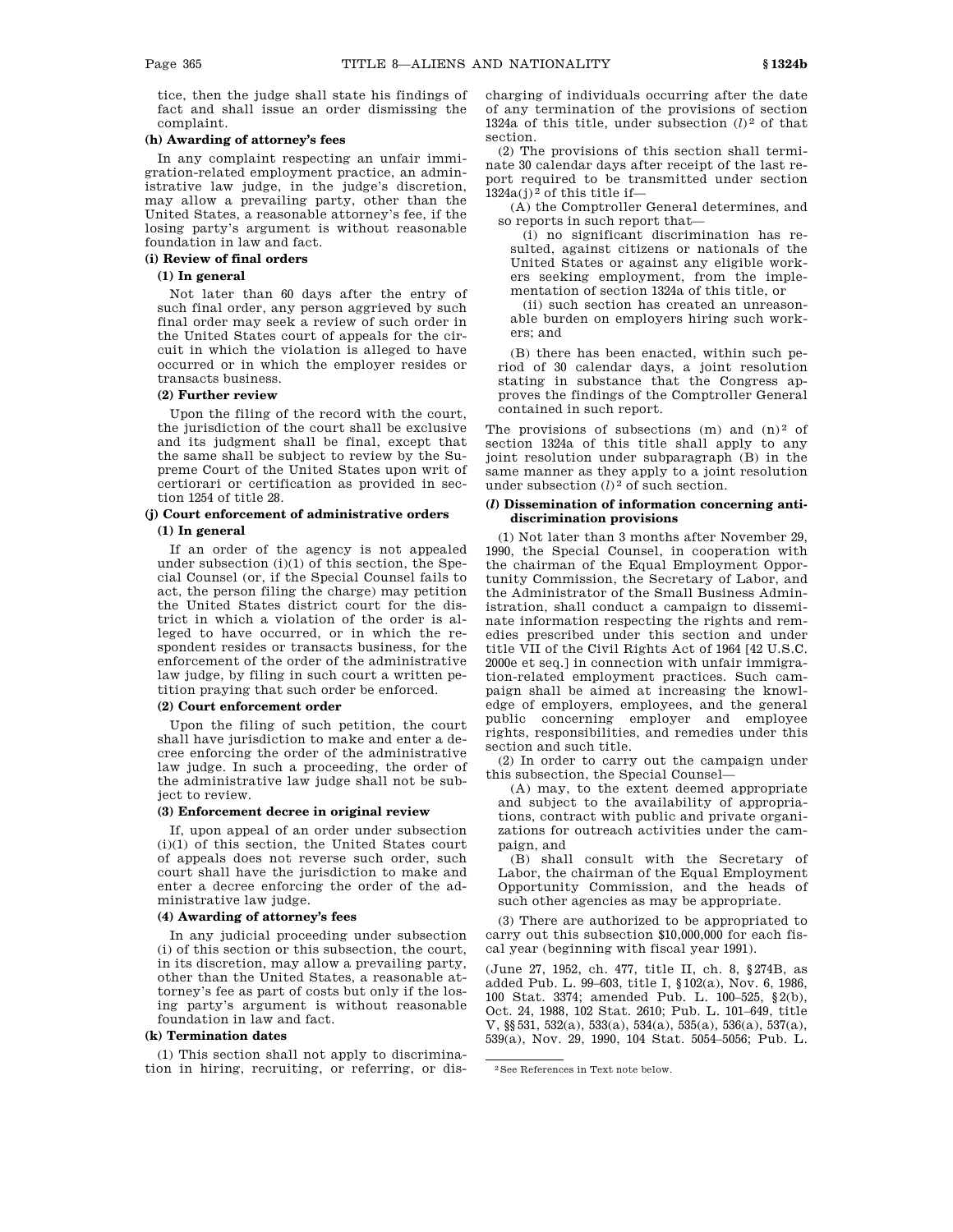tice, then the judge shall state his findings of fact and shall issue an order dismissing the complaint.

#### **(h) Awarding of attorney's fees**

In any complaint respecting an unfair immigration-related employment practice, an administrative law judge, in the judge's discretion, may allow a prevailing party, other than the United States, a reasonable attorney's fee, if the losing party's argument is without reasonable foundation in law and fact.

## **(i) Review of final orders**

## **(1) In general**

Not later than 60 days after the entry of such final order, any person aggrieved by such final order may seek a review of such order in the United States court of appeals for the circuit in which the violation is alleged to have occurred or in which the employer resides or transacts business.

## **(2) Further review**

Upon the filing of the record with the court, the jurisdiction of the court shall be exclusive and its judgment shall be final, except that the same shall be subject to review by the Supreme Court of the United States upon writ of certiorari or certification as provided in section 1254 of title 28.

### **(j) Court enforcement of administrative orders (1) In general**

If an order of the agency is not appealed under subsection  $(i)(1)$  of this section, the Special Counsel (or, if the Special Counsel fails to act, the person filing the charge) may petition the United States district court for the district in which a violation of the order is alleged to have occurred, or in which the respondent resides or transacts business, for the enforcement of the order of the administrative law judge, by filing in such court a written petition praying that such order be enforced.

### **(2) Court enforcement order**

Upon the filing of such petition, the court shall have jurisdiction to make and enter a decree enforcing the order of the administrative law judge. In such a proceeding, the order of the administrative law judge shall not be subject to review.

#### **(3) Enforcement decree in original review**

If, upon appeal of an order under subsection (i)(1) of this section, the United States court of appeals does not reverse such order, such court shall have the jurisdiction to make and enter a decree enforcing the order of the administrative law judge.

### **(4) Awarding of attorney's fees**

In any judicial proceeding under subsection (i) of this section or this subsection, the court, in its discretion, may allow a prevailing party, other than the United States, a reasonable attorney's fee as part of costs but only if the losing party's argument is without reasonable foundation in law and fact.

### **(k) Termination dates**

(1) This section shall not apply to discrimination in hiring, recruiting, or referring, or discharging of individuals occurring after the date of any termination of the provisions of section 1324a of this title, under subsection  $(l)^2$  of that section.

(2) The provisions of this section shall terminate 30 calendar days after receipt of the last report required to be transmitted under section  $1324a(j)^2$  of this title if-

(A) the Comptroller General determines, and so reports in such report that-

(i) no significant discrimination has resulted, against citizens or nationals of the United States or against any eligible workers seeking employment, from the implementation of section 1324a of this title, or

(ii) such section has created an unreasonable burden on employers hiring such workers; and

(B) there has been enacted, within such period of 30 calendar days, a joint resolution stating in substance that the Congress approves the findings of the Comptroller General contained in such report.

The provisions of subsections  $(m)$  and  $(n)^2$  of section 1324a of this title shall apply to any joint resolution under subparagraph (B) in the same manner as they apply to a joint resolution under subsection (*l*) 2 of such section.

### **(***l***) Dissemination of information concerning antidiscrimination provisions**

(1) Not later than 3 months after November 29, 1990, the Special Counsel, in cooperation with the chairman of the Equal Employment Opportunity Commission, the Secretary of Labor, and the Administrator of the Small Business Administration, shall conduct a campaign to disseminate information respecting the rights and remedies prescribed under this section and under title VII of the Civil Rights Act of 1964 [42 U.S.C. 2000e et seq.] in connection with unfair immigration-related employment practices. Such campaign shall be aimed at increasing the knowledge of employers, employees, and the general public concerning employer and employee rights, responsibilities, and remedies under this section and such title.

(2) In order to carry out the campaign under this subsection, the Special Counsel—

(A) may, to the extent deemed appropriate and subject to the availability of appropriations, contract with public and private organizations for outreach activities under the campaign, and

(B) shall consult with the Secretary of Labor, the chairman of the Equal Employment Opportunity Commission, and the heads of such other agencies as may be appropriate.

(3) There are authorized to be appropriated to carry out this subsection \$10,000,000 for each fiscal year (beginning with fiscal year 1991).

(June 27, 1952, ch. 477, title II, ch. 8, §274B, as added Pub. L. 99–603, title I, §102(a), Nov. 6, 1986, 100 Stat. 3374; amended Pub. L. 100–525, §2(b), Oct. 24, 1988, 102 Stat. 2610; Pub. L. 101–649, title V, §§531, 532(a), 533(a), 534(a), 535(a), 536(a), 537(a), 539(a), Nov. 29, 1990, 104 Stat. 5054–5056; Pub. L.

<sup>2</sup>See References in Text note below.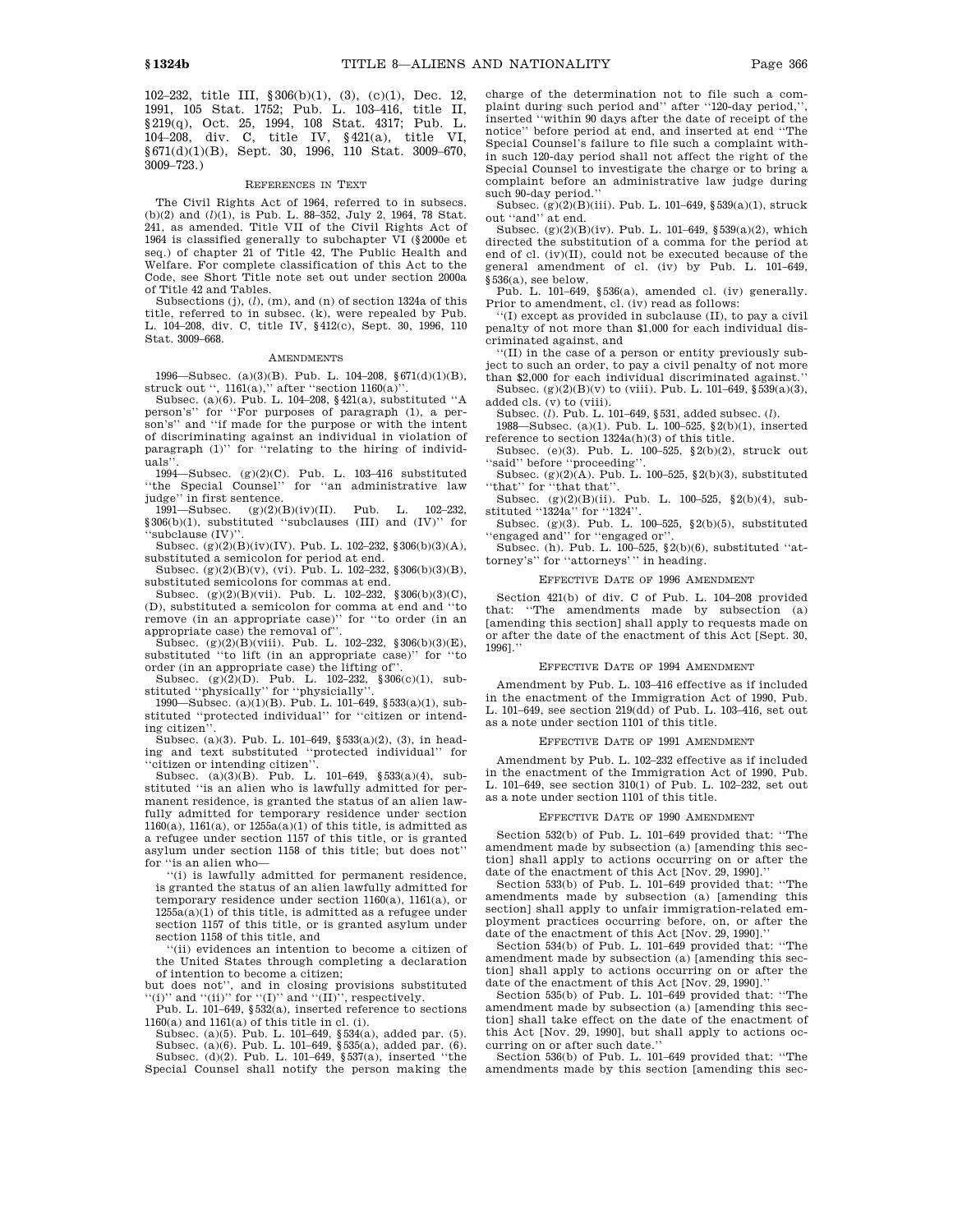102–232, title III, §306(b)(1), (3), (c)(1), Dec. 12, 1991, 105 Stat. 1752; Pub. L. 103–416, title II, §219(q), Oct. 25, 1994, 108 Stat. 4317; Pub. L. 104–208, div. C, title IV, §421(a), title VI, §671(d)(1)(B), Sept. 30, 1996, 110 Stat. 3009–670, 3009–723.)

#### REFERENCES IN TEXT

The Civil Rights Act of 1964, referred to in subsecs. (b)(2) and (*l*)(1), is Pub. L. 88–352, July 2, 1964, 78 Stat. 241, as amended. Title VII of the Civil Rights Act of 1964 is classified generally to subchapter VI (§2000e et seq.) of chapter 21 of Title 42, The Public Health and Welfare. For complete classification of this Act to the Code, see Short Title note set out under section 2000a of Title 42 and Tables.

Subsections (j), (*l*), (m), and (n) of section 1324a of this title, referred to in subsec. (k), were repealed by Pub. L. 104–208, div. C, title IV, §412(c), Sept. 30, 1996, 110 Stat. 3009–668.

#### AMENDMENTS

1996—Subsec. (a)(3)(B). Pub. L. 104–208, §671(d)(1)(B),

struck out '', 1161(a),'' after ''section 1160(a)''. Subsec. (a)(6). Pub. L. 104–208, §421(a), substituted ''A person's'' for ''For purposes of paragraph (1), a person's'' and ''if made for the purpose or with the intent of discriminating against an individual in violation of paragraph (1)'' for ''relating to the hiring of individuals''.

1994—Subsec. (g)(2)(C). Pub. L. 103–416 substituted ''the Special Counsel'' for ''an administrative law judge'' in first sentence.<br>1991—Subsec.  $(g)(2)$ 

 $(g)(2)(B)(iv)(II)$ . Pub. L. 102–232, §306(b)(1), substituted ''subclauses (III) and (IV)'' for 'subclause (IV)

Subsec.  $(g)(2)(B)(iv)(IV)$ . Pub. L. 102–232, §306(b)(3)(A), substituted a semicolon for period at end.

Subsec. (g)(2)(B)(v), (vi). Pub. L. 102–232, §306(b)(3)(B), substituted semicolons for commas at end.

Subsec. (g)(2)(B)(vii). Pub. L. 102–232, §306(b)(3)(C), (D), substituted a semicolon for comma at end and ''to remove (in an appropriate case)'' for ''to order (in an

appropriate case) the removal of''. Subsec. (g)(2)(B)(viii). Pub. L. 102–232, §306(b)(3)(E), substituted ''to lift (in an appropriate case)'' for ''to order (in an appropriate case) the lifting of''.

Subsec. (g)(2)(D). Pub. L. 102–232, §306(c)(1), substituted ''physically'' for ''physicially''.

1990—Subsec. (a)(1)(B). Pub. L. 101–649, §533(a)(1), substituted ''protected individual'' for ''citizen or intending citizen

Subsec. (a)(3). Pub. L. 101–649, §533(a)(2), (3), in heading and text substituted "protected individual" for

''citizen or intending citizen''. Subsec. (a)(3)(B). Pub. L. 101–649, §533(a)(4), substituted ''is an alien who is lawfully admitted for permanent residence, is granted the status of an alien lawfully admitted for temporary residence under section  $1160(a)$ ,  $1161(a)$ , or  $1255a(a)(1)$  of this title, is admitted as a refugee under section 1157 of this title, or is granted asylum under section 1158 of this title; but does not''

for "is an alien who—<br>"(i) is lawfully admitted for permanent residence, is granted the status of an alien lawfully admitted for temporary residence under section 1160(a), 1161(a), or  $1255a(a)(1)$  of this title, is admitted as a refugee under section 1157 of this title, or is granted asylum under section 1158 of this title, and

''(ii) evidences an intention to become a citizen of the United States through completing a declaration of intention to become a citizen;

but does not'', and in closing provisions substituted "(i)" and "(ii)" for " $(I)$ " and " $(II)$ ", respectively.

Pub. L. 101–649, §532(a), inserted reference to sections 1160(a) and 1161(a) of this title in cl. (i).

Subsec. (a)(5). Pub. L. 101–649, §534(a), added par. (5).

Subsec. (a)(6). Pub. L. 101–649, §535(a), added par. (6). Subsec. (d)(2). Pub. L. 101–649, §537(a), inserted ''the Special Counsel shall notify the person making the charge of the determination not to file such a complaint during such period and" after "120-day period," inserted ''within 90 days after the date of receipt of the notice'' before period at end, and inserted at end ''The Special Counsel's failure to file such a complaint within such 120-day period shall not affect the right of the Special Counsel to investigate the charge or to bring a complaint before an administrative law judge during such 90-day period.''

Subsec.  $(g)(2)(B)(iii)$ . Pub. L. 101–649, §539(a)(1), struck out "and" at end.

Subsec. (g)(2)(B)(iv). Pub. L. 101–649, §539(a)(2), which directed the substitution of a comma for the period at end of cl. (iv)(II), could not be executed because of the general amendment of cl. (iv) by Pub. L. 101–649,  $\bar{\S}$ 536(a), see below.

Pub. L. 101–649, §536(a), amended cl. (iv) generally. Prior to amendment, cl. (iv) read as follows:

''(I) except as provided in subclause (II), to pay a civil penalty of not more than \$1,000 for each individual discriminated against, and

''(II) in the case of a person or entity previously subject to such an order, to pay a civil penalty of not more

than \$2,000 for each individual discriminated against.'' Subsec. (g)(2)(B)(v) to (viii). Pub. L. 101-649,  $$539(a)(3)$ , added cls. (v) to (viii).

Subsec. (*l*). Pub. L. 101–649, §531, added subsec. (*l*).

1988—Subsec. (a)(1). Pub. L. 100–525, §2(b)(1), inserted reference to section 1324a(h)(3) of this title.

Subsec. (e)(3). Pub. L. 100–525, §2(b)(2), struck out ''said'' before ''proceeding''.

Subsec. (g)(2)(A). Pub. L. 100–525,  $\S$ 2(b)(3), substituted

"that" for "that that".<br>Subsec.  $(g)(2)(B)(ii)$ . Pub. L. 100–525, §2(b)(4), sub-

stituted ''1324a'' for ''1324''. Subsec. (g)(3). Pub. L. 100–525, §2(b)(5), substituted 'engaged and'' for "engaged or"

Subsec. (h). Pub. L. 100–525, §2(b)(6), substituted ''attorney's'' for ''attorneys''' in heading.

#### EFFECTIVE DATE OF 1996 AMENDMENT

Section 421(b) of div. C of Pub. L. 104–208 provided that: ''The amendments made by subsection (a) [amending this section] shall apply to requests made on or after the date of the enactment of this Act [Sept. 30, 1996].''

#### EFFECTIVE DATE OF 1994 AMENDMENT

Amendment by Pub. L. 103–416 effective as if included in the enactment of the Immigration Act of 1990, Pub. L. 101–649, see section 219(dd) of Pub. L. 103–416, set out as a note under section 1101 of this title.

#### EFFECTIVE DATE OF 1991 AMENDMENT

Amendment by Pub. L. 102–232 effective as if included in the enactment of the Immigration Act of 1990, Pub. L. 101–649, see section 310(1) of Pub. L. 102–232, set out as a note under section 1101 of this title.

#### EFFECTIVE DATE OF 1990 AMENDMENT

Section 532(b) of Pub. L. 101–649 provided that: ''The amendment made by subsection (a) [amending this section] shall apply to actions occurring on or after the date of the enactment of this Act [Nov. 29, 1990].''

Section 533(b) of Pub. L. 101–649 provided that: ''The amendments made by subsection (a) [amending this section] shall apply to unfair immigration-related employment practices occurring before, on, or after the date of the enactment of this Act [Nov. 29, 1990].''

Section 534(b) of Pub. L. 101–649 provided that: ''The amendment made by subsection (a) [amending this section] shall apply to actions occurring on or after the date of the enactment of this Act [Nov. 29, 1990].''

Section 535(b) of Pub. L. 101–649 provided that: ''The amendment made by subsection (a) [amending this section] shall take effect on the date of the enactment of this Act [Nov. 29, 1990], but shall apply to actions occurring on or after such date.''

Section 536(b) of Pub. L. 101–649 provided that: ''The amendments made by this section [amending this sec-